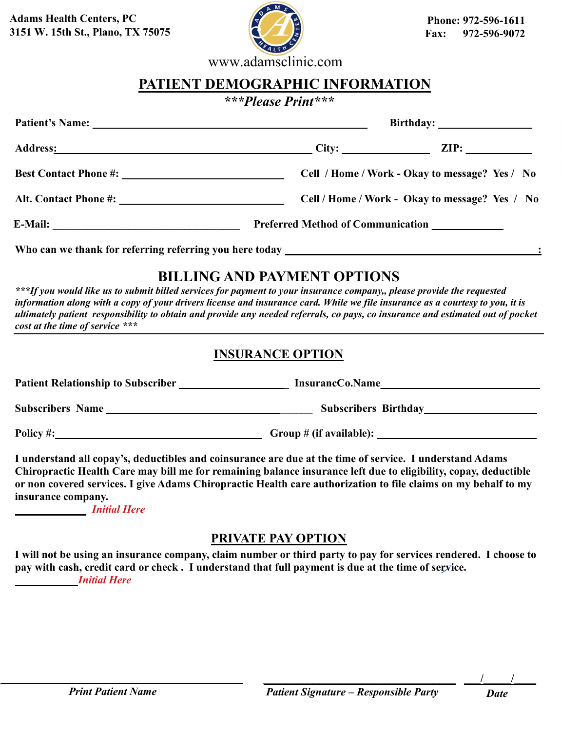**Adams Health Centers, PC 3151 W. 15th St., Plano, TX 75075**



**Phone: 972-596-1611 Fax: 972-596-9072**

www.adamsclinic.com

# **PATIENT DEMOGRAPHIC INFORMATION**

*\*\*\*Please Print\*\*\**

| Address: No. 2016. The Committee of the Committee of the Committee of the Committee of the Committee of the Committee of the Committee of the Committee of the Committee of the Committee of the Committee of the Committee of |  | $City:$ $ZIP:$                                 |  |  |
|--------------------------------------------------------------------------------------------------------------------------------------------------------------------------------------------------------------------------------|--|------------------------------------------------|--|--|
|                                                                                                                                                                                                                                |  | Cell / Home / Work - Okay to message? Yes / No |  |  |
|                                                                                                                                                                                                                                |  | Cell / Home / Work - Okay to message? Yes / No |  |  |
|                                                                                                                                                                                                                                |  |                                                |  |  |
|                                                                                                                                                                                                                                |  | :                                              |  |  |

# **BILLING AND PAYMENT OPTIONS**

*\*\*\*If you would like us to submit billed services for payment to your insurance company,, please provide the requested information along with a copy of your drivers license and insurance card. While we file insurance as a courtesy to you, it is ultimately patient responsibility to obtain and provide any needed referrals, co pays, co insurance and estimated out of pocket cost at the time of service \*\*\**

# **INSURANCE OPTION**

| <b>Patient Relationship to Subscriber</b> | <b>InsurancCo.Name</b>      |  |  |  |
|-------------------------------------------|-----------------------------|--|--|--|
| <b>Subscribers Name</b>                   | <b>Subscribers Birthday</b> |  |  |  |
| Policy #:                                 | Group $#$ (if available):   |  |  |  |

**I understand all copay's, deductibles and coinsurance are due at the time of service. I understand Adams Chiropractic Health Care may bill me for remaining balance insurance left due to eligibility, copay, deductible or non covered services. I give Adams Chiropractic Health care authorization to file claims on my behalf to my insurance company.**

 **\_\_\_\_\_\_\_\_\_\_\_\_** *Initial Here*

## **PRIVATE PAY OPTION**

**I will not be using an insurance company, claim number or third party to pay for services rendered. I choose to pay with cash, credit card or check . I understand that full payment is due at the time of service.**  *Initial Here*

**\_\_\_\_\_\_\_\_\_\_\_\_\_\_\_\_\_\_\_\_\_\_\_\_\_\_\_\_\_\_\_\_\_\_\_ \_\_\_/\_\_\_\_\_/\_\_\_\_**

*Date*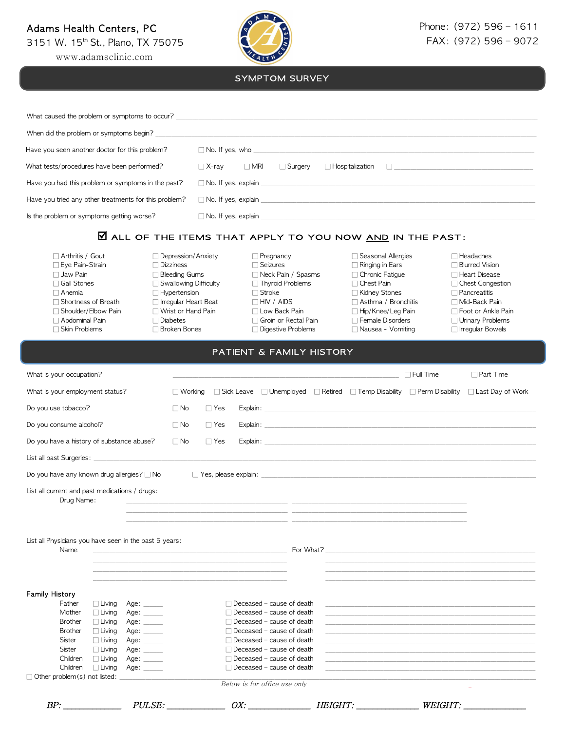### Adams Health Centers, PC





www.adamsclinic.com



| What caused the problem or symptoms to occur?         |                                   |            |                        |                        |  |
|-------------------------------------------------------|-----------------------------------|------------|------------------------|------------------------|--|
| When did the problem or symptoms begin?               |                                   |            |                        |                        |  |
| Have you seen another doctor for this problem?        |                                   |            | $\Box$ No. If yes, who |                        |  |
| What tests/procedures have been performed?            | $\Box$ X-rav                      | $\Box$ MRI | $\Box$ Surgery         | $\Box$ Hospitalization |  |
| Have you had this problem or symptoms in the past?    | $\Box$ No. If yes, explain $\Box$ |            |                        |                        |  |
| Have you tried any other treatments for this problem? | $\Box$ No. If yes, explain $\Box$ |            |                        |                        |  |
| Is the problem or symptoms getting worse?             | $\Box$ No. If yes, explain        |            |                        |                        |  |

### $\overline{M}$  all of the items that apply to you now  $\underline{AND}$  in the past:

- ☐ Arthritis / Gout ☐ Eye Pain-Strain ☐ Jaw Pain ☐ Gall Stones ☐ Anemia □ Shortness of Breath □ Shoulder/Elbow Pain ☐ Abdominal Pain ☐ Skin Problems
- ☐ Depression/Anxiety ☐ Dizziness ☐ Bleeding Gums □ Swallowing Difficulty ☐ Hypertension ☐ Irregular Heart Beat ☐ Wrist or Hand Pain ☐ Diabetes ☐ Broken Bones
- ☐ Pregnancy ☐ Seizures ☐ Neck Pain / Spasms ☐ Thyroid Problems ☐ Stroke ☐ HIV / AIDS ☐ Low Back Pain □ Groin or Rectal Pain ☐ Digestive Problems

#### ☐ Seasonal Allergies ☐ Ringing in Ears □ Chronic Fatigue □ Chest Pain ☐ Kidney Stones □ Asthma / Bronchitis ☐ Hip/Knee/Leg Pain ☐ Female Disorders ☐ Nausea - Vomiting

☐ Headaches ☐ Blurred Vision ☐ Heart Disease ☐ Chest Congestion ☐ Pancreatitis ☐ Mid-Back Pain □ Foot or Ankle Pain ☐ Urinary Problems ☐ Irregular Bowels

| <b>PATIENT &amp; FAMILY HISTORY</b>                                                                                                                                                                                                                                                                                                                                                                                                    |                |            |                                                                                                                                                                                                                                                                                                                              |  |                                                                                                                      |                                                                                                                                                                                                                                |                                                                                                                                                                                                                                                                                                               |
|----------------------------------------------------------------------------------------------------------------------------------------------------------------------------------------------------------------------------------------------------------------------------------------------------------------------------------------------------------------------------------------------------------------------------------------|----------------|------------|------------------------------------------------------------------------------------------------------------------------------------------------------------------------------------------------------------------------------------------------------------------------------------------------------------------------------|--|----------------------------------------------------------------------------------------------------------------------|--------------------------------------------------------------------------------------------------------------------------------------------------------------------------------------------------------------------------------|---------------------------------------------------------------------------------------------------------------------------------------------------------------------------------------------------------------------------------------------------------------------------------------------------------------|
| What is your occupation?                                                                                                                                                                                                                                                                                                                                                                                                               |                |            |                                                                                                                                                                                                                                                                                                                              |  |                                                                                                                      | $\Box$ Full Time                                                                                                                                                                                                               | $\Box$ Part Time                                                                                                                                                                                                                                                                                              |
| What is your employment status?                                                                                                                                                                                                                                                                                                                                                                                                        | $\Box$ Working |            |                                                                                                                                                                                                                                                                                                                              |  |                                                                                                                      |                                                                                                                                                                                                                                | $\Box$ Sick Leave $\Box$ Unemployed $\Box$ Retired $\Box$ Temp Disability $\Box$ Perm Disability $\Box$ Last Day of Work                                                                                                                                                                                      |
| Do you use tobacco?                                                                                                                                                                                                                                                                                                                                                                                                                    | $\Box$ No      | $\Box$ Yes |                                                                                                                                                                                                                                                                                                                              |  |                                                                                                                      |                                                                                                                                                                                                                                |                                                                                                                                                                                                                                                                                                               |
| Do you consume alcohol?                                                                                                                                                                                                                                                                                                                                                                                                                | $\Box$ No      | $\Box$ Yes |                                                                                                                                                                                                                                                                                                                              |  |                                                                                                                      |                                                                                                                                                                                                                                |                                                                                                                                                                                                                                                                                                               |
| Do you have a history of substance abuse?                                                                                                                                                                                                                                                                                                                                                                                              | $\Box$ No      | $\Box$ Yes |                                                                                                                                                                                                                                                                                                                              |  |                                                                                                                      | Explain: the contract of the contract of the contract of the contract of the contract of the contract of the contract of the contract of the contract of the contract of the contract of the contract of the contract of the c |                                                                                                                                                                                                                                                                                                               |
|                                                                                                                                                                                                                                                                                                                                                                                                                                        |                |            |                                                                                                                                                                                                                                                                                                                              |  |                                                                                                                      |                                                                                                                                                                                                                                |                                                                                                                                                                                                                                                                                                               |
| Do you have any known drug allergies? □ No                                                                                                                                                                                                                                                                                                                                                                                             |                |            |                                                                                                                                                                                                                                                                                                                              |  |                                                                                                                      |                                                                                                                                                                                                                                |                                                                                                                                                                                                                                                                                                               |
| List all current and past medications / drugs:<br>Drug Name:                                                                                                                                                                                                                                                                                                                                                                           |                |            | the control of the control of the control of the control of the control of the control of                                                                                                                                                                                                                                    |  | <u> 1980 - Johann John Harry Harry Harry Harry Harry Harry Harry Harry Harry Harry Harry Harry Harry Harry Harry</u> |                                                                                                                                                                                                                                |                                                                                                                                                                                                                                                                                                               |
| List all Physicians you have seen in the past 5 years:<br>Name                                                                                                                                                                                                                                                                                                                                                                         |                |            |                                                                                                                                                                                                                                                                                                                              |  |                                                                                                                      |                                                                                                                                                                                                                                |                                                                                                                                                                                                                                                                                                               |
| <b>Family History</b><br>Father<br>$\Box$ Living<br>Age: $\qquad \qquad$<br>Mother<br>$\Box$ Living<br>Age:<br>$\Box$ Living<br><b>Brother</b><br>Age: $\frac{1}{2}$<br><b>Brother</b><br>$\Box$ Living<br>Age: $\qquad \qquad$<br>Sister<br>$\Box$ Living<br>Age: $\qquad \qquad$<br>Sister<br>$\Box$ Living<br>Age:<br>Children<br>$\Box$ Living<br>Age:<br>Children<br>$\Box$ Living<br>Age:<br>$\Box$ Other problem(s) not listed: |                |            | $\Box$ Deceased – cause of death<br>$\Box$ Deceased - cause of death<br>$\Box$ Deceased - cause of death<br>$\Box$ Deceased - cause of death<br>$\Box$ Deceased - cause of death<br>$\Box$ Deceased - cause of death<br>$\Box$ Deceased - cause of death<br>$\Box$ Deceased - cause of death<br>Below is for office use only |  |                                                                                                                      | <u> 1989 - Johann John Stoff, deutscher Stoffen und der Stoffen und der Stoffen und der Stoffen und der Stoffen u</u>                                                                                                          | <u> 1989 - Johann Stoff, deutscher Stoff, der Stoff, der Stoff, der Stoff, der Stoff, der Stoff, der Stoff, der S</u><br><u> 1989 - Johann Stoff, amerikansk politiker (d. 1989)</u><br><u> 1989 - Johann John Stoff, deutscher Stoffen und der Stoffen und der Stoffen und der Stoffen und der Stoffen u</u> |
| BP:                                                                                                                                                                                                                                                                                                                                                                                                                                    |                |            |                                                                                                                                                                                                                                                                                                                              |  |                                                                                                                      | PULSE: $OX:$ HEIGHT: WEIGHT:                                                                                                                                                                                                   |                                                                                                                                                                                                                                                                                                               |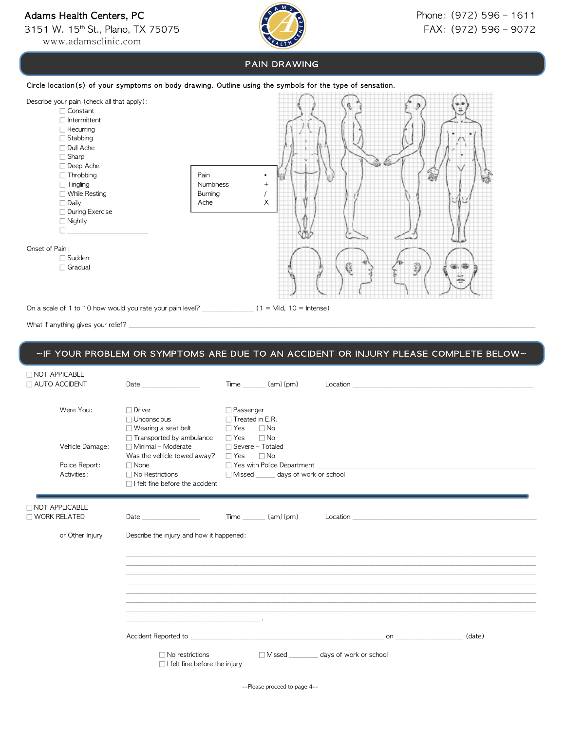## Adams Health Centers, PC

3151 W. 15<sup>th</sup> St., Plano, TX 75075 www.adamsclinic.com



### PAIN DRAWING

Circle location(s) of your symptoms on body drawing. Outline using the symbols for the type of sensation.



What if anything gives your relief?

#### ~IF YOUR PROBLEM OR SYMPTOMS ARE DUE TO AN ACCIDENT OR INJURY PLEASE COMPLETE BELOW~

| <b>NOT APPICABLE</b><br>□ AUTO ACCIDENT | Date and the state of the state of the state of the state of the state of the state of the state of the state of the state of the state of the state of the state of the state of the state of the state of the state of the s | $Time$ (am) $(pm)$                                                                                                                                                                                                                                                           |                                           | Location <b>Executive Contract Contract Contract Contract Contract Contract Contract Contract Contract Contract Contract Contract Contract Contract Contract Contract Contract Contract Contract Contract Contract Contract Cont</b> |        |
|-----------------------------------------|--------------------------------------------------------------------------------------------------------------------------------------------------------------------------------------------------------------------------------|------------------------------------------------------------------------------------------------------------------------------------------------------------------------------------------------------------------------------------------------------------------------------|-------------------------------------------|--------------------------------------------------------------------------------------------------------------------------------------------------------------------------------------------------------------------------------------|--------|
| Were You:                               | $\Box$ Driver<br>$\Box$ Unconscious<br>$\Box$ Wearing a seat belt<br>$\Box$ Transported by ambulance                                                                                                                           | □ Passenger<br>$\Box$ Treated in E.R.<br>$\Box$ Yes<br>$\Box$ No<br>$\Box$ No<br>$\Box$ Yes                                                                                                                                                                                  |                                           |                                                                                                                                                                                                                                      |        |
| Vehicle Damage:                         | $\Box$ Minimal - Moderate<br>Was the vehicle towed away? $\Box$ Yes $\Box$ No                                                                                                                                                  | $\Box$ Severe - Totaled                                                                                                                                                                                                                                                      |                                           |                                                                                                                                                                                                                                      |        |
| Police Report:<br>Activities:           | $\Box$ None<br>$\Box$ No Restrictions<br>$\Box$ I felt fine before the accident                                                                                                                                                | □ Yes with Police Department ■ The Contract Department ■ The Contract Department ■ The Contract Department Department Department Department Department Department Department Department Department Department Department Depa<br>□ Missed <u>come</u> days of work or school |                                           |                                                                                                                                                                                                                                      |        |
| □ NOT APPLICABLE<br>$\Box$ WORK RELATED | Date and the state of the state of the state of the state of the state of the state of the state of the state of the state of the state of the state of the state of the state of the state of the state of the state of the s | $Time$ (am) $(pm)$                                                                                                                                                                                                                                                           |                                           |                                                                                                                                                                                                                                      |        |
| or Other Injury                         | Describe the injury and how it happened:                                                                                                                                                                                       |                                                                                                                                                                                                                                                                              |                                           |                                                                                                                                                                                                                                      |        |
|                                         |                                                                                                                                                                                                                                |                                                                                                                                                                                                                                                                              |                                           |                                                                                                                                                                                                                                      |        |
|                                         |                                                                                                                                                                                                                                |                                                                                                                                                                                                                                                                              |                                           |                                                                                                                                                                                                                                      |        |
|                                         |                                                                                                                                                                                                                                |                                                                                                                                                                                                                                                                              |                                           |                                                                                                                                                                                                                                      |        |
|                                         |                                                                                                                                                                                                                                |                                                                                                                                                                                                                                                                              |                                           |                                                                                                                                                                                                                                      |        |
|                                         |                                                                                                                                                                                                                                |                                                                                                                                                                                                                                                                              |                                           |                                                                                                                                                                                                                                      |        |
|                                         | Accident Reported to ______________                                                                                                                                                                                            |                                                                                                                                                                                                                                                                              |                                           | on and the contract of the contract of the contract of the contract of the contract of the contract of the contract of the contract of the contract of the contract of the contract of the contract of the contract of the con       | (date) |
|                                         | $\Box$ No restrictions<br>$\Box$ I felt fine before the injury                                                                                                                                                                 |                                                                                                                                                                                                                                                                              | □ Missed _________ days of work or school |                                                                                                                                                                                                                                      |        |

--Please proceed to page 4--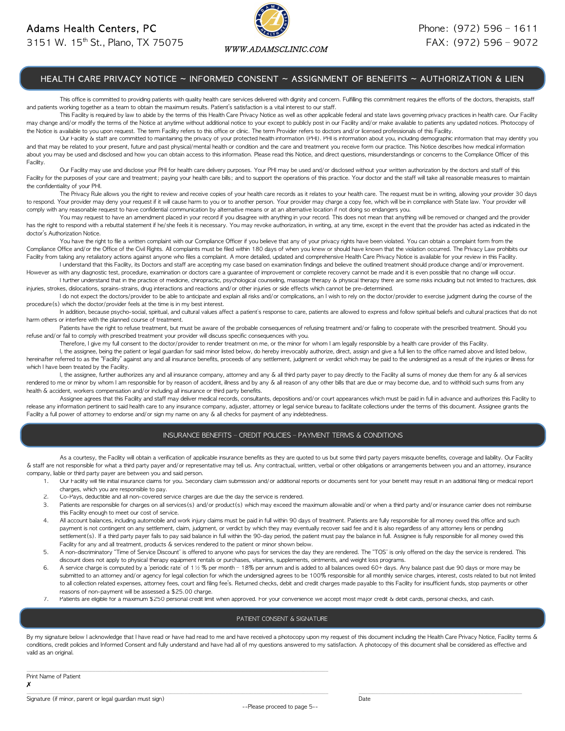3151 W. 15<sup>th</sup> St., Plano, TX 75075



#### HEALTH CARE PRIVACY NOTICE ~ INFORMED CONSENT ~ ASSIGNMENT OF BENEFITS ~ AUTHORIZATION & LIEN

This office is committed to providing patients with quality health care services delivered with dignity and concern. Fulfilling this commitment requires the efforts of the doctors, therapists, staff and patients working together as a team to obtain the maximum results. Patient's satisfaction is a vital interest to our staff.

This Facility is required by law to abide by the terms of this Health Care Privacy Notice as well as other applicable federal and state laws governing privacy practices in health care. Our Facility may change and/or modify the terms of the Notice at anytime without additional notice to your except to publicly post in our Facility and/or make available to patients any updated notices. Photocopy of the Notice is available to you upon request. The term Facility refers to this office or clinic. The term Provider refers to doctors and/or licensed professionals of this Facility.

Our Facility & staff are committed to maintaining the privacy of your protected health information (PHI). PHI is information about you, including demographic information that may identify you and that may be related to your present, future and past physical/mental health or condition and the care and treatment you receive form our practice. This Notice describes how medical information about you may be used and disclosed and how you can obtain access to this information. Please read this Notice, and direct questions, misunderstandings or concerns to the Compliance Officer of this Facility.

Our Facility may use and disclose your PHI for health care delivery purposes. Your PHI may be used and/or disclosed without your written authorization by the doctors and staff of this Facility for the purposes of your care and treatment; paying your health care bills; and to support the operations of this practice. Your doctor and the staff will take all reasonable measures to maintain the confidentiality of your PHI.

The Privacy Rule allows you the right to review and receive copies of your health care records as it relates to your health care. The request must be in writing, allowing your provider 30 days to respond. Your provider may deny your request if it will cause harm to you or to another person. Your provider may charge a copy fee, which will be in compliance with State law. Your provider will comply with any reasonable request to have confidential communication by alternative means or at an alternative location if not doing so endangers you.

You may request to have an amendment placed in your record if you disagree with anything in your record. This does not mean that anything will be removed or changed and the provider has the right to respond with a rebuttal statement if he/she feels it is necessary. You may revoke authorization, in writing, at any time, except in the event that the provider has acted as indicated in the doctor's Authorization Notice.

You have the right to file a written complaint with our Compliance Officer if you believe that any of your privacy rights have been violated. You can obtain a complaint form from the Compliance Office and/or the Office of the Civil Rights. All complaints must be filed within 180 days of when you knew or should have known that the violation occurred. The Privacy Law prohibits our Facility from taking any retaliatory actions against anyone who files a complaint. A more detailed, updated and comprehensive Health Care Privacy Notice is available for your review in this Facility.

I understand that this Facility, its Doctors and staff are accepting my case based on examination findings and believe the outlined treatment should produce change and/or improvement. However as with any diagnostic test, procedure, examination or doctors care a guarantee of improvement or complete recovery cannot be made and it is even possible that no change will occur. I further understand that in the practice of medicine, chiropractic, psychological counseling, massage therapy  $\&$  physical therapy there are some risks including but not limited to fractures, disk

injuries, strokes, dislocations, sprains-strains, drug interactions and reactions and/or other injuries or side effects which cannot be pre-determined.

I do not expect the doctors/provider to be able to anticipate and explain all risks and/or complications, an I wish to rely on the doctor/provider to exercise judgment during the course of the procedure(s) which the doctor/provider feels at the time is in my best interest.

In addition, because psycho-social, spiritual, and cultural values affect a patient's response to care, patients are allowed to express and follow spiritual beliefs and cultural practices that do not harm others or interfere with the planned course of treatment.

Patients have the right to refuse treatment, but must be aware of the probable consequences of refusing treatment and/or failing to cooperate with the prescribed treatment. Should you refuse and/or fail to comply with prescribed treatment your provider will discuss specific consequences with you.

Therefore, I give my full consent to the doctor/provider to render treatment on me, or the minor for whom I am legally responsible by a health care provider of this Facility.

I, the assignee, being the patient or legal guardian for said minor listed below, do hereby irrevocably authorize, direct, assign and give a full lien to the office named above and listed below, hereinafter referred to as the "Facility" against any and all insurance benefits, proceeds of any settlement, judgment or verdict which may be paid to the undersigned as a result of the injuries or illness for which I have been treated by the Facility.

I, the assignee, further authorizes any and all insurance company, attorney and any & all third party payer to pay directly to the Facility all sums of money due them for any & all services rendered to me or minor by whom I am responsible for by reason of accident, illness and by any & all reason of any other bills that are due or may become due, and to withhold such sums from any health & accident, workers compensation and/or including all insurance or third party benefits.

Assignee agrees that this Facility and staff may deliver medical records, consultants, depositions and/or court appearances which must be paid in full in advance and authorizes this Facility to release any information pertinent to said health care to any insurance company, adjuster, attorney or legal service bureau to facilitate collections under the terms of this document. Assignee grants the Facility a full power of attorney to endorse and/or sign my name on any & all checks for payment of any indebtedness.

#### INSURANCE BENEFITS – CREDIT POLICIES – PAYMENT TERMS & CONDITIONS

As a courtesy, the Facility will obtain a verification of applicable insurance benefits as they are quoted to us but some third party payers misquote benefits, coverage and liability. Our Facility & staff are not responsible for what a third party payer and/or representative may tell us. Any contractual, written, verbal or other obligations or arrangements between you and an attorney, insurance company, liable or third party payer are between you and said person.

- 1. Our Facility will file initial insurance claims for you. Secondary claim submission and/or additional reports or documents sent for your benefit may result in an additional filing or medical report charges, which you are responsible to pay.
	- 2. Co-Pays, deductible and all non-covered service charges are due the day the service is rendered.

\_\_\_\_\_\_\_\_\_\_\_\_\_\_\_\_\_\_\_\_\_\_\_\_\_\_\_\_\_\_\_\_\_\_\_\_\_\_\_\_\_\_\_\_\_\_\_\_\_\_\_\_\_\_\_\_\_\_\_\_\_\_\_\_\_\_\_\_\_\_\_\_\_\_\_\_\_\_\_\_\_\_\_\_\_\_\_\_\_\_\_\_\_\_\_\_\_\_\_\_\_\_\_\_\_\_\_\_\_

- 3. Patients are responsible for charges on all services(s) and/or product(s) which may exceed the maximum allowable and/or when a third party and/or insurance carrier does not reimburse this Facility enough to meet our cost of service.
- 4. All account balances, including automobile and work injury claims must be paid in full within 90 days of treatment. Patients are fully responsible for all money owed this office and such payment is not contingent on any settlement, claim, judgment, or verdict by which they may eventually recover said fee and it is also regardless of any attorney liens or pending settlement(s). If a third party payer fails to pay said balance in full within the 90-day period, the patient must pay the balance in full. Assignee is fully responsible for all money owed this Facility for any and all treatment, products & services rendered to the patient or minor shown below.
- 5. A non-discriminatory "Time of Service Discount" is offered to anyone who pays for services the day they are rendered. The "TOS" is only offered on the day the service is rendered. This discount does not apply to physical therapy equipment rentals or purchases, vitamins, supplements, ointments, and weight loss programs.
- 6. A service charge is computed by a 'periodic rate' of 1½ % per month 18% per annum and is added to all balances owed 60+ days. Any balance past due 90 days or more may be submitted to an attorney and/or agency for legal collection for which the undersigned agrees to be 100% responsible for all monthly service charges, interest, costs related to but not limited to all collection related expenses, attorney fees, court and filing fee's. Returned checks, debit and credit charges made payable to this Facility for insufficient funds, stop payments or other reasons of non-payment will be assessed a \$25.00 charge.
- 7. Patients are eligible for a maximum \$250 personal credit limit when approved. For your convenience we accept most major credit & debit cards, personal checks, and cash.

#### PATIENT CONSENT & SIGNATURE

By my signature below I acknowledge that I have read or have had read to me and have received a photocopy upon my request of this document including the Health Care Privacy Notice, Facility terms & conditions, credit policies and Informed Consent and fully understand and have had all of my questions answered to my satisfaction. A photocopy of this document shall be considered as effective and valid as an original.

Print Name of Patient

✗

Signature (if minor, parent or legal guardian must sign) Date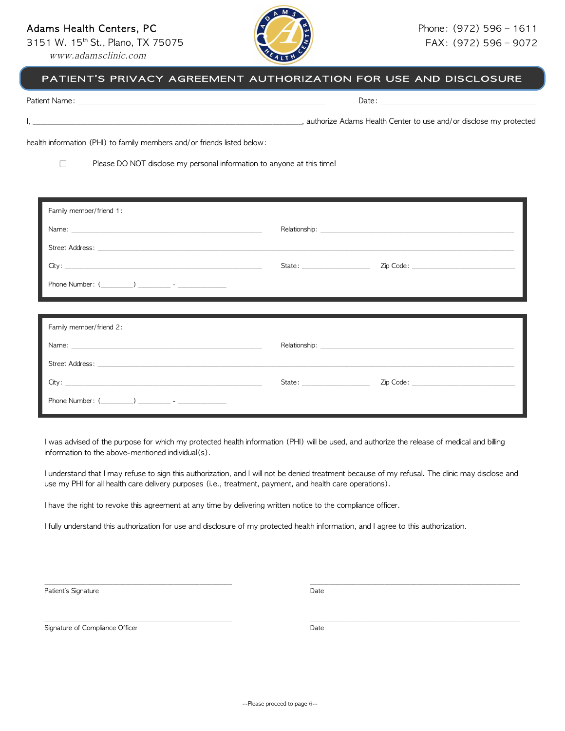### Adams Health Centers, PC





www.adamsclinic.com

## PATIENT'S PRIVACY AGREEMENT AUTHORIZATION FOR USE AND DISCLOSURE

| נ בר<br>$\overline{\phantom{a}}$ | Jale |
|----------------------------------|------|
|                                  |      |

I, \_\_\_\_\_\_\_\_\_\_\_\_\_\_\_\_\_\_\_\_\_\_\_\_\_\_\_\_\_\_\_\_\_\_\_\_\_\_\_\_\_\_\_\_\_\_\_\_\_\_\_\_\_\_\_\_\_\_\_\_\_\_\_\_\_\_\_\_\_\_\_\_\_, authorize Adams Health Center to use and/or disclose my protected

health information (PHI) to family members and/or friends listed below:

□ Please DO NOT disclose my personal information to anyone at this time!

| Family member/friend 1: |                                |                                                                                                      |
|-------------------------|--------------------------------|------------------------------------------------------------------------------------------------------|
|                         |                                | Relationship: Note: Note: Note: Note: Note: Note: Note: Note: Note: Note: Note: Note: Note: Note: No |
|                         |                                |                                                                                                      |
|                         |                                |                                                                                                      |
| Phone Number: $($       |                                |                                                                                                      |
|                         |                                |                                                                                                      |
| Family member/friend 2: |                                |                                                                                                      |
|                         |                                | Relationship: Note: Note: Note: Note: Note: Note: Note: Note: Note: Note: Note: Note: Note: Note: No |
|                         |                                |                                                                                                      |
|                         |                                |                                                                                                      |
|                         | State: _______________________ |                                                                                                      |

I was advised of the purpose for which my protected health information (PHI) will be used, and authorize the release of medical and billing information to the above-mentioned individual(s).

I understand that I may refuse to sign this authorization, and I will not be denied treatment because of my refusal. The clinic may disclose and use my PHI for all health care delivery purposes (i.e., treatment, payment, and health care operations).

\_\_\_\_\_\_\_\_\_\_\_\_\_\_\_\_\_\_\_\_\_\_\_\_\_\_\_\_\_\_\_\_\_\_\_\_\_\_\_\_\_\_\_\_\_\_\_\_\_\_\_\_\_\_\_\_\_\_ \_\_\_\_\_\_\_\_\_\_\_\_\_\_\_\_\_\_\_\_\_\_\_\_\_\_\_\_\_\_\_\_\_\_\_\_\_\_\_\_\_\_\_\_\_\_\_\_\_\_\_\_\_\_\_\_\_\_\_\_\_\_\_\_\_

\_\_\_\_\_\_\_\_\_\_\_\_\_\_\_\_\_\_\_\_\_\_\_\_\_\_\_\_\_\_\_\_\_\_\_\_\_\_\_\_\_\_\_\_\_\_\_\_\_\_\_\_\_\_\_\_\_\_ \_\_\_\_\_\_\_\_\_\_\_\_\_\_\_\_\_\_\_\_\_\_\_\_\_\_\_\_\_\_\_\_\_\_\_\_\_\_\_\_\_\_\_\_\_\_\_\_\_\_\_\_\_\_\_\_\_\_\_\_\_\_\_\_\_

I have the right to revoke this agreement at any time by delivering written notice to the compliance officer.

I fully understand this authorization for use and disclosure of my protected health information, and I agree to this authorization.

Patient's Signature Date

Signature of Compliance Officer **Date** Date Date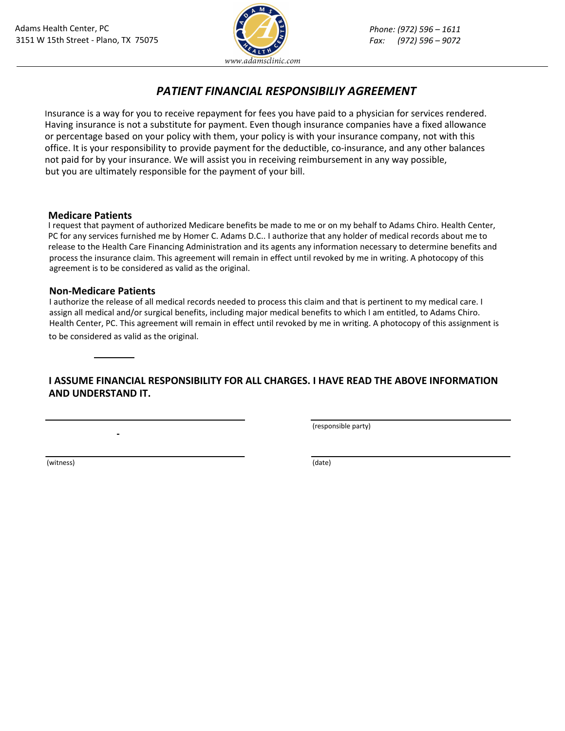

## *PATIENT FINANCIAL RESPONSIBILIY AGREEMENT*

Insurance is a way for you to receive repayment for fees you have paid to a physician for services rendered. Having insurance is not a substitute for payment. Even though insurance companies have a fixed allowance or percentage based on your policy with them, your policy is with your insurance company, not with this office. It is your responsibility to provide payment for the deductible, co-insurance, and any other balances not paid for by your insurance. We will assist you in receiving reimbursement in any way possible, but you are ultimately responsible for the payment of your bill.

### **Medicare Patients**

I request that payment of authorized Medicare benefits be made to me or on my behalf to Adams Chiro. Health Center, PC for any services furnished me by Homer C. Adams D.C.. I authorize that any holder of medical records about me to release to the Health Care Financing Administration and its agents any information necessary to determine benefits and process the insurance claim. This agreement will remain in effect until revoked by me in writing. A photocopy of this agreement is to be considered as valid as the original.

### **Non-Medicare Patients**

I authorize the release of all medical records needed to process this claim and that is pertinent to my medical care. I assign all medical and/or surgical benefits, including major medical benefits to which I am entitled, to Adams Chiro. Health Center, PC. This agreement will remain in effect until revoked by me in writing. A photocopy of this assignment is

to be considered as valid as the original.

### **I ASSUME FINANCIAL RESPONSIBILITY FOR ALL CHARGES. I HAVE READ THE ABOVE INFORMATION AND UNDERSTAND IT.**

(responsible party)

(witness)

(date)